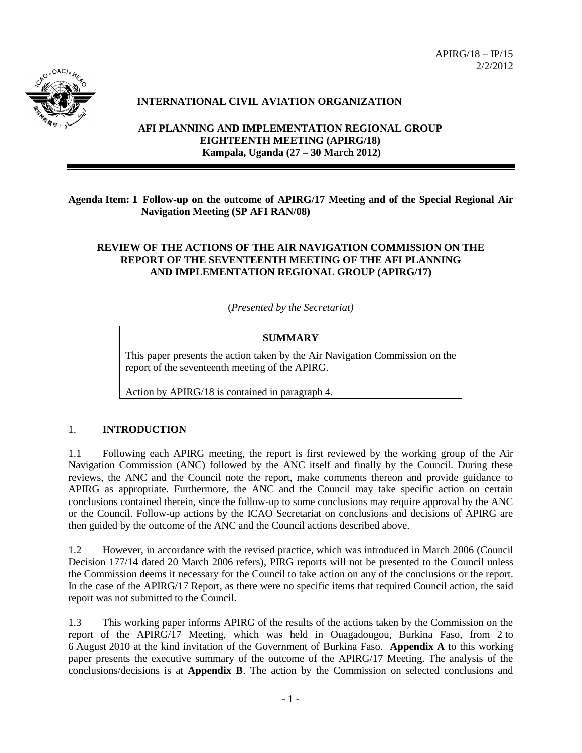

## **INTERNATIONAL CIVIL AVIATION ORGANIZATION**

**AFI PLANNING AND IMPLEMENTATION REGIONAL GROUP EIGHTEENTH MEETING (APIRG/18) Kampala, Uganda (27 – 30 March 2012)**

**Agenda Item: 1 Follow-up on the outcome of APIRG/17 Meeting and of the Special Regional Air Navigation Meeting (SP AFI RAN/08)** 

### **REVIEW OF THE ACTIONS OF THE AIR NAVIGATION COMMISSION ON THE REPORT OF THE SEVENTEENTH MEETING OF THE AFI PLANNING AND IMPLEMENTATION REGIONAL GROUP (APIRG/17)**

(*Presented by the Secretariat)*

### **SUMMARY**

This paper presents the action taken by the Air Navigation Commission on the report of the seventeenth meeting of the APIRG.

Action by APIRG/18 is contained in paragraph 4.

### 1. **INTRODUCTION**

1.1 Following each APIRG meeting, the report is first reviewed by the working group of the Air Navigation Commission (ANC) followed by the ANC itself and finally by the Council. During these reviews, the ANC and the Council note the report, make comments thereon and provide guidance to APIRG as appropriate. Furthermore, the ANC and the Council may take specific action on certain conclusions contained therein, since the follow-up to some conclusions may require approval by the ANC or the Council. Follow-up actions by the ICAO Secretariat on conclusions and decisions of APIRG are then guided by the outcome of the ANC and the Council actions described above.

1.2 However, in accordance with the revised practice, which was introduced in March 2006 (Council Decision 177/14 dated 20 March 2006 refers), PIRG reports will not be presented to the Council unless the Commission deems it necessary for the Council to take action on any of the conclusions or the report. In the case of the APIRG/17 Report, as there were no specific items that required Council action, the said report was not submitted to the Council.

1.3 This working paper informs APIRG of the results of the actions taken by the Commission on the report of the APIRG/17 Meeting, which was held in Ouagadougou, Burkina Faso, from 2 to 6 August 2010 at the kind invitation of the Government of Burkina Faso. **Appendix A** to this working paper presents the executive summary of the outcome of the APIRG/17 Meeting. The analysis of the conclusions/decisions is at **Appendix B**. The action by the Commission on selected conclusions and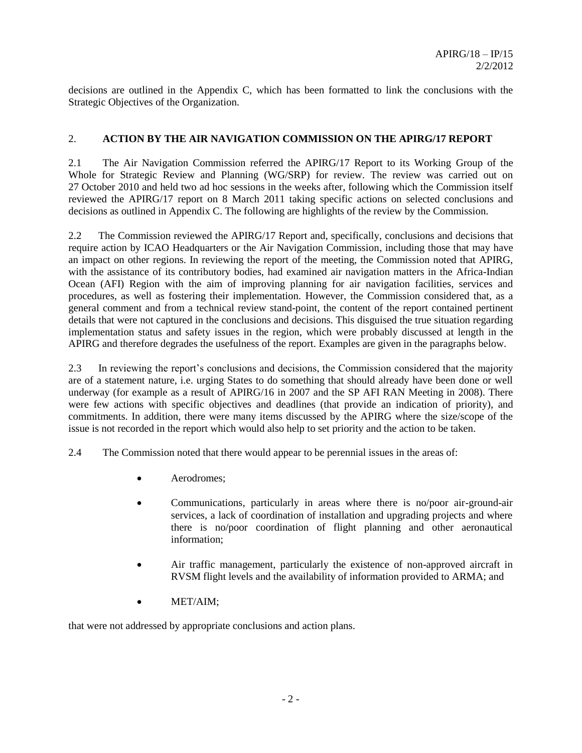decisions are outlined in the Appendix C, which has been formatted to link the conclusions with the Strategic Objectives of the Organization.

## 2. **ACTION BY THE AIR NAVIGATION COMMISSION ON THE APIRG/17 REPORT**

2.1 The Air Navigation Commission referred the APIRG/17 Report to its Working Group of the Whole for Strategic Review and Planning (WG/SRP) for review. The review was carried out on 27 October 2010 and held two ad hoc sessions in the weeks after, following which the Commission itself reviewed the APIRG/17 report on 8 March 2011 taking specific actions on selected conclusions and decisions as outlined in Appendix C. The following are highlights of the review by the Commission.

2.2 The Commission reviewed the APIRG/17 Report and, specifically, conclusions and decisions that require action by ICAO Headquarters or the Air Navigation Commission, including those that may have an impact on other regions. In reviewing the report of the meeting, the Commission noted that APIRG, with the assistance of its contributory bodies, had examined air navigation matters in the Africa-Indian Ocean (AFI) Region with the aim of improving planning for air navigation facilities, services and procedures, as well as fostering their implementation. However, the Commission considered that, as a general comment and from a technical review stand-point, the content of the report contained pertinent details that were not captured in the conclusions and decisions. This disguised the true situation regarding implementation status and safety issues in the region, which were probably discussed at length in the APIRG and therefore degrades the usefulness of the report. Examples are given in the paragraphs below.

2.3 In reviewing the report's conclusions and decisions, the Commission considered that the majority are of a statement nature, i.e. urging States to do something that should already have been done or well underway (for example as a result of APIRG/16 in 2007 and the SP AFI RAN Meeting in 2008). There were few actions with specific objectives and deadlines (that provide an indication of priority), and commitments. In addition, there were many items discussed by the APIRG where the size/scope of the issue is not recorded in the report which would also help to set priority and the action to be taken.

2.4 The Commission noted that there would appear to be perennial issues in the areas of:

- Aerodromes;
- Communications, particularly in areas where there is no/poor air-ground-air services, a lack of coordination of installation and upgrading projects and where there is no/poor coordination of flight planning and other aeronautical information;
- Air traffic management, particularly the existence of non-approved aircraft in RVSM flight levels and the availability of information provided to ARMA; and
- MET/AIM;

that were not addressed by appropriate conclusions and action plans.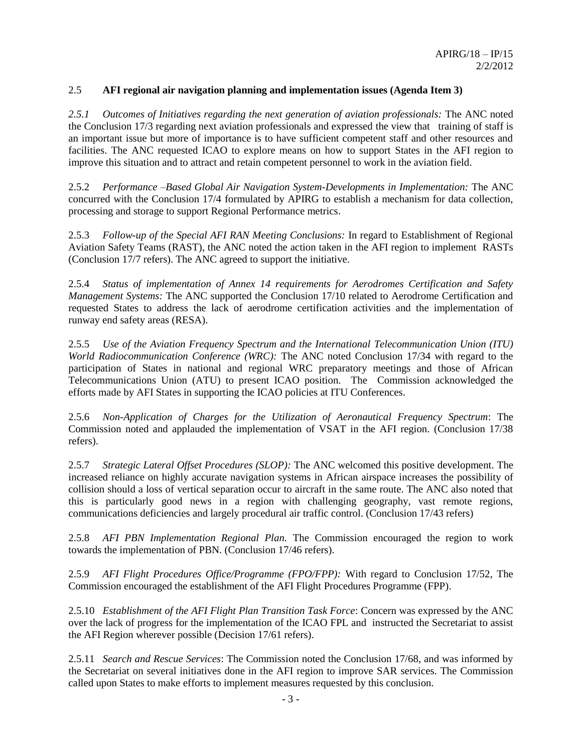## 2.5 **AFI regional air navigation planning and implementation issues (Agenda Item 3)**

*2.5.1 Outcomes of Initiatives regarding the next generation of aviation professionals:* The ANC noted the Conclusion 17/3 regarding next aviation professionals and expressed the view that training of staff is an important issue but more of importance is to have sufficient competent staff and other resources and facilities. The ANC requested ICAO to explore means on how to support States in the AFI region to improve this situation and to attract and retain competent personnel to work in the aviation field.

2.5.2 *Performance –Based Global Air Navigation System-Developments in Implementation:* The ANC concurred with the Conclusion 17/4 formulated by APIRG to establish a mechanism for data collection, processing and storage to support Regional Performance metrics.

2.5.3 *Follow-up of the Special AFI RAN Meeting Conclusions:* In regard to Establishment of Regional Aviation Safety Teams (RAST), the ANC noted the action taken in the AFI region to implement RASTs (Conclusion 17/7 refers). The ANC agreed to support the initiative.

2.5.4 *Status of implementation of Annex 14 requirements for Aerodromes Certification and Safety Management Systems:* The ANC supported the Conclusion 17/10 related to Aerodrome Certification and requested States to address the lack of aerodrome certification activities and the implementation of runway end safety areas (RESA).

2.5.5 *Use of the Aviation Frequency Spectrum and the International Telecommunication Union (ITU) World Radiocommunication Conference (WRC):* The ANC noted Conclusion 17/34 with regard to the participation of States in national and regional WRC preparatory meetings and those of African Telecommunications Union (ATU) to present ICAO position. The Commission acknowledged the efforts made by AFI States in supporting the ICAO policies at ITU Conferences.

2.5.6 *Non-Application of Charges for the Utilization of Aeronautical Frequency Spectrum*: The Commission noted and applauded the implementation of VSAT in the AFI region. (Conclusion 17/38 refers).

2.5.7 *Strategic Lateral Offset Procedures (SLOP):* The ANC welcomed this positive development. The increased reliance on highly accurate navigation systems in African airspace increases the possibility of collision should a loss of vertical separation occur to aircraft in the same route. The ANC also noted that this is particularly good news in a region with challenging geography, vast remote regions, communications deficiencies and largely procedural air traffic control. (Conclusion 17/43 refers)

2.5.8 *AFI PBN Implementation Regional Plan.* The Commission encouraged the region to work towards the implementation of PBN. (Conclusion 17/46 refers).

2.5.9 *AFI Flight Procedures Office/Programme (FPO/FPP):* With regard to Conclusion 17/52, The Commission encouraged the establishment of the AFI Flight Procedures Programme (FPP).

2.5.10 *Establishment of the AFI Flight Plan Transition Task Force*: Concern was expressed by the ANC over the lack of progress for the implementation of the ICAO FPL and instructed the Secretariat to assist the AFI Region wherever possible (Decision 17/61 refers).

2.5.11 *Search and Rescue Services*: The Commission noted the Conclusion 17/68, and was informed by the Secretariat on several initiatives done in the AFI region to improve SAR services. The Commission called upon States to make efforts to implement measures requested by this conclusion.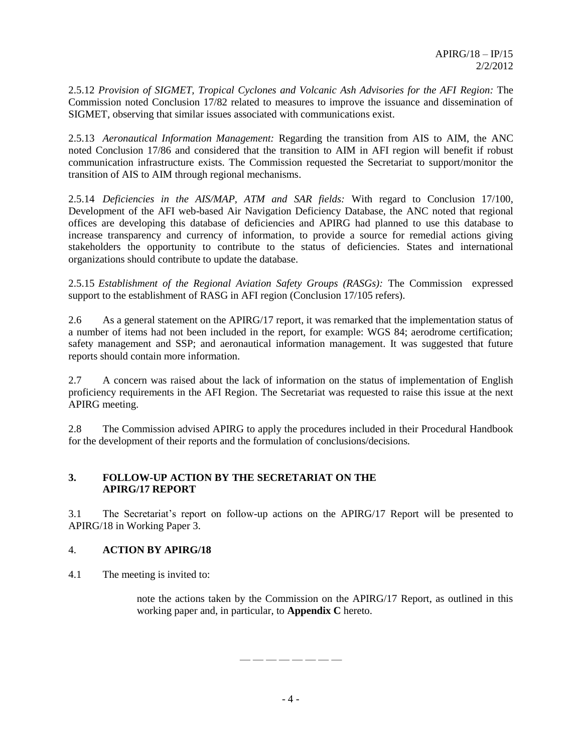2.5.12 *Provision of SIGMET, Tropical Cyclones and Volcanic Ash Advisories for the AFI Region:* The Commission noted Conclusion 17/82 related to measures to improve the issuance and dissemination of SIGMET, observing that similar issues associated with communications exist.

2.5.13 *Aeronautical Information Management:* Regarding the transition from AIS to AIM, the ANC noted Conclusion 17/86 and considered that the transition to AIM in AFI region will benefit if robust communication infrastructure exists. The Commission requested the Secretariat to support/monitor the transition of AIS to AIM through regional mechanisms.

2.5.14 *Deficiencies in the AIS/MAP, ATM and SAR fields:* With regard to Conclusion 17/100, Development of the AFI web-based Air Navigation Deficiency Database, the ANC noted that regional offices are developing this database of deficiencies and APIRG had planned to use this database to increase transparency and currency of information, to provide a source for remedial actions giving stakeholders the opportunity to contribute to the status of deficiencies. States and international organizations should contribute to update the database.

2.5.15 *Establishment of the Regional Aviation Safety Groups (RASGs):* The Commission expressed support to the establishment of RASG in AFI region (Conclusion 17/105 refers).

2.6 As a general statement on the APIRG/17 report, it was remarked that the implementation status of a number of items had not been included in the report, for example: WGS 84; aerodrome certification; safety management and SSP; and aeronautical information management. It was suggested that future reports should contain more information.

2.7 A concern was raised about the lack of information on the status of implementation of English proficiency requirements in the AFI Region. The Secretariat was requested to raise this issue at the next APIRG meeting.

2.8 The Commission advised APIRG to apply the procedures included in their Procedural Handbook for the development of their reports and the formulation of conclusions/decisions.

### **3. FOLLOW-UP ACTION BY THE SECRETARIAT ON THE APIRG/17 REPORT**

3.1 The Secretariat's report on follow-up actions on the APIRG/17 Report will be presented to APIRG/18 in Working Paper 3.

## 4. **ACTION BY APIRG/18**

4.1 The meeting is invited to:

note the actions taken by the Commission on the APIRG/17 Report, as outlined in this working paper and, in particular, to **Appendix C** hereto.

— — — — — — — —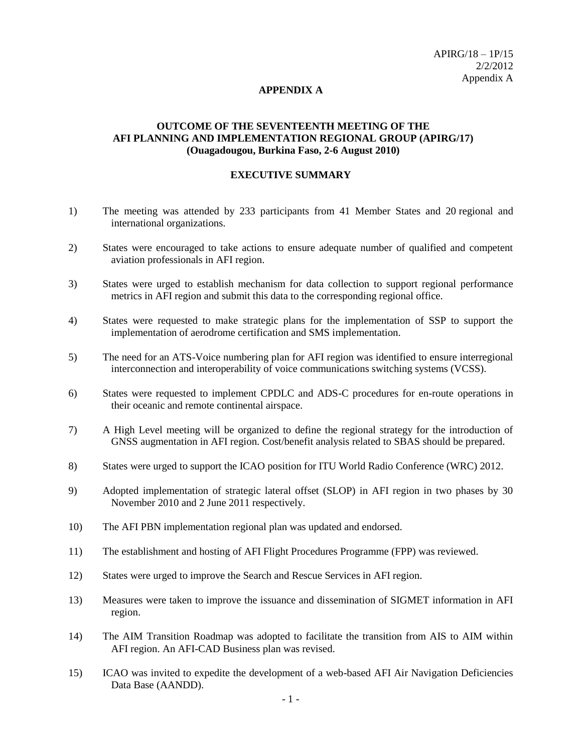#### **APPENDIX A**

### **OUTCOME OF THE SEVENTEENTH MEETING OF THE AFI PLANNING AND IMPLEMENTATION REGIONAL GROUP (APIRG/17) (Ouagadougou, Burkina Faso, 2-6 August 2010)**

#### **EXECUTIVE SUMMARY**

- 1) The meeting was attended by 233 participants from 41 Member States and 20 regional and international organizations.
- 2) States were encouraged to take actions to ensure adequate number of qualified and competent aviation professionals in AFI region.
- 3) States were urged to establish mechanism for data collection to support regional performance metrics in AFI region and submit this data to the corresponding regional office.
- 4) States were requested to make strategic plans for the implementation of SSP to support the implementation of aerodrome certification and SMS implementation.
- 5) The need for an ATS-Voice numbering plan for AFI region was identified to ensure interregional interconnection and interoperability of voice communications switching systems (VCSS).
- 6) States were requested to implement CPDLC and ADS-C procedures for en-route operations in their oceanic and remote continental airspace.
- 7) A High Level meeting will be organized to define the regional strategy for the introduction of GNSS augmentation in AFI region. Cost/benefit analysis related to SBAS should be prepared.
- 8) States were urged to support the ICAO position for ITU World Radio Conference (WRC) 2012.
- 9) Adopted implementation of strategic lateral offset (SLOP) in AFI region in two phases by 30 November 2010 and 2 June 2011 respectively.
- 10) The AFI PBN implementation regional plan was updated and endorsed.
- 11) The establishment and hosting of AFI Flight Procedures Programme (FPP) was reviewed.
- 12) States were urged to improve the Search and Rescue Services in AFI region.
- 13) Measures were taken to improve the issuance and dissemination of SIGMET information in AFI region.
- 14) The AIM Transition Roadmap was adopted to facilitate the transition from AIS to AIM within AFI region. An AFI-CAD Business plan was revised.
- 15) ICAO was invited to expedite the development of a web-based AFI Air Navigation Deficiencies Data Base (AANDD).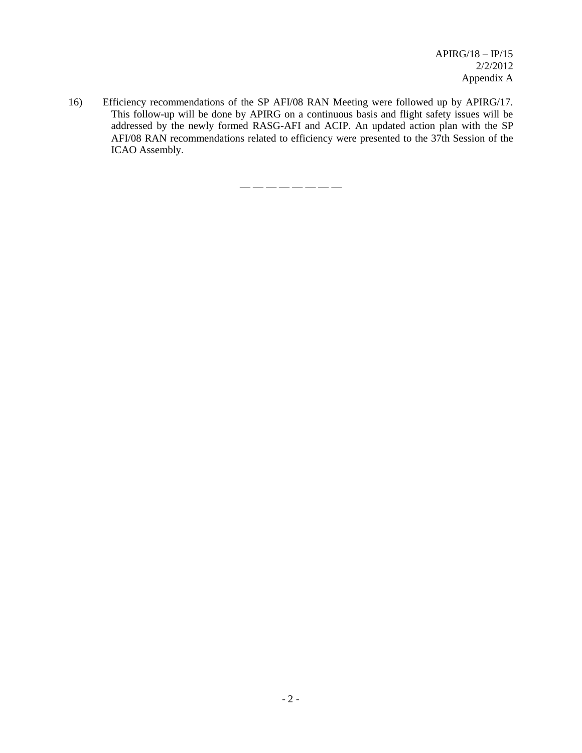16) Efficiency recommendations of the SP AFI/08 RAN Meeting were followed up by APIRG/17. This follow-up will be done by APIRG on a continuous basis and flight safety issues will be addressed by the newly formed RASG-AFI and ACIP. An updated action plan with the SP AFI/08 RAN recommendations related to efficiency were presented to the 37th Session of the ICAO Assembly.

— — — — — — — —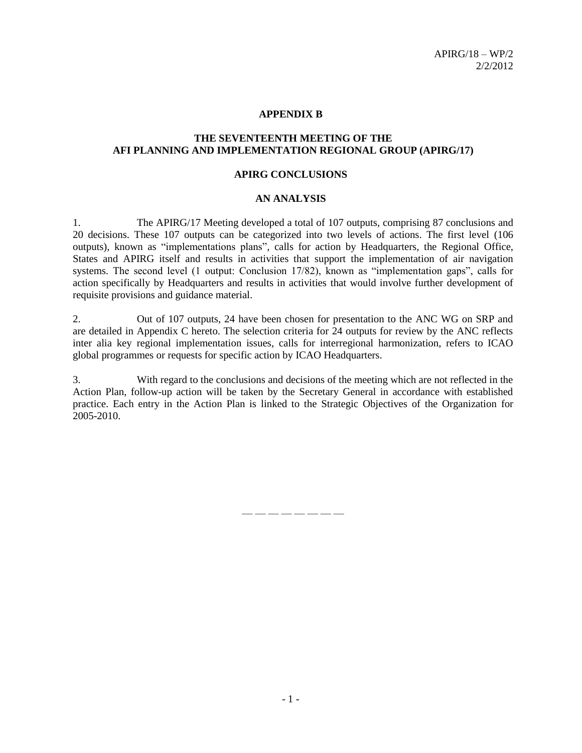#### **APPENDIX B**

#### **THE SEVENTEENTH MEETING OF THE AFI PLANNING AND IMPLEMENTATION REGIONAL GROUP (APIRG/17)**

#### **APIRG CONCLUSIONS**

#### **AN ANALYSIS**

1. The APIRG/17 Meeting developed a total of 107 outputs, comprising 87 conclusions and 20 decisions. These 107 outputs can be categorized into two levels of actions. The first level (106 outputs), known as "implementations plans", calls for action by Headquarters, the Regional Office, States and APIRG itself and results in activities that support the implementation of air navigation systems. The second level (1 output: Conclusion 17/82), known as "implementation gaps", calls for action specifically by Headquarters and results in activities that would involve further development of requisite provisions and guidance material.

2. Out of 107 outputs, 24 have been chosen for presentation to the ANC WG on SRP and are detailed in Appendix C hereto. The selection criteria for 24 outputs for review by the ANC reflects inter alia key regional implementation issues, calls for interregional harmonization, refers to ICAO global programmes or requests for specific action by ICAO Headquarters.

3. With regard to the conclusions and decisions of the meeting which are not reflected in the Action Plan, follow-up action will be taken by the Secretary General in accordance with established practice. Each entry in the Action Plan is linked to the Strategic Objectives of the Organization for 2005-2010.

— — — — — — — —

- 1 -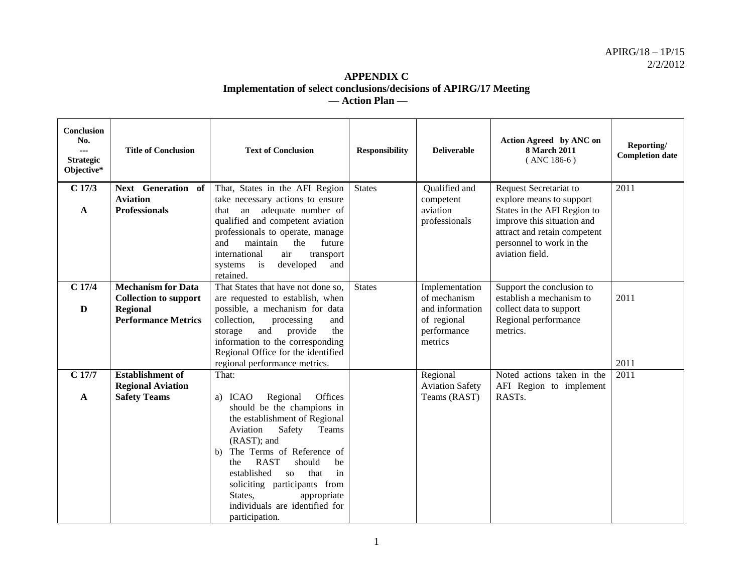## **APPENDIX C Implementation of select conclusions/decisions of APIRG/17 Meeting — Action Plan —**

| <b>Conclusion</b><br>No.<br>---<br><b>Strategic</b><br>Objective* | <b>Title of Conclusion</b>                                                                                 | <b>Text of Conclusion</b>                                                                                                                                                                                                                                                                                                                                                             | <b>Responsibility</b> | <b>Deliverable</b>                                                                         | Action Agreed by ANC on<br><b>8 March 2011</b><br>$($ ANC 186-6 $)$                                                                                                                            | Reporting/<br><b>Completion date</b> |
|-------------------------------------------------------------------|------------------------------------------------------------------------------------------------------------|---------------------------------------------------------------------------------------------------------------------------------------------------------------------------------------------------------------------------------------------------------------------------------------------------------------------------------------------------------------------------------------|-----------------------|--------------------------------------------------------------------------------------------|------------------------------------------------------------------------------------------------------------------------------------------------------------------------------------------------|--------------------------------------|
| $C$ 17/3<br>$\mathbf{A}$                                          | Next Generation of<br><b>Aviation</b><br><b>Professionals</b>                                              | That, States in the AFI Region<br>take necessary actions to ensure<br>an adequate number of<br>that<br>qualified and competent aviation<br>professionals to operate, manage<br>and<br>maintain<br>the<br>future<br>international<br>air<br>transport<br>developed<br>and<br>systems<br>is<br>retained.                                                                                | <b>States</b>         | Qualified and<br>competent<br>aviation<br>professionals                                    | Request Secretariat to<br>explore means to support<br>States in the AFI Region to<br>improve this situation and<br>attract and retain competent<br>personnel to work in the<br>aviation field. | 2011                                 |
| $C$ 17/4<br>$\mathbf{D}$                                          | <b>Mechanism for Data</b><br><b>Collection to support</b><br><b>Regional</b><br><b>Performance Metrics</b> | That States that have not done so,<br>are requested to establish, when<br>possible, a mechanism for data<br>collection,<br>processing<br>and<br>provide<br>and<br>the<br>storage<br>information to the corresponding<br>Regional Office for the identified<br>regional performance metrics.                                                                                           | <b>States</b>         | Implementation<br>of mechanism<br>and information<br>of regional<br>performance<br>metrics | Support the conclusion to<br>establish a mechanism to<br>collect data to support<br>Regional performance<br>metrics.                                                                           | 2011<br>2011                         |
| $C$ 17/7<br>A                                                     | <b>Establishment of</b><br><b>Regional Aviation</b><br><b>Safety Teams</b>                                 | That:<br>Offices<br>a) ICAO<br>Regional<br>should be the champions in<br>the establishment of Regional<br>Safety<br>Aviation<br>Teams<br>(RAST); and<br>The Terms of Reference of<br>b)<br><b>RAST</b><br>should<br>be<br>the<br>in<br>established<br>that<br><b>SO</b><br>soliciting participants from<br>States,<br>appropriate<br>individuals are identified for<br>participation. |                       | Regional<br><b>Aviation Safety</b><br>Teams (RAST)                                         | Noted actions taken in the<br>AFI Region to implement<br>RAST <sub>s</sub> .                                                                                                                   | 2011                                 |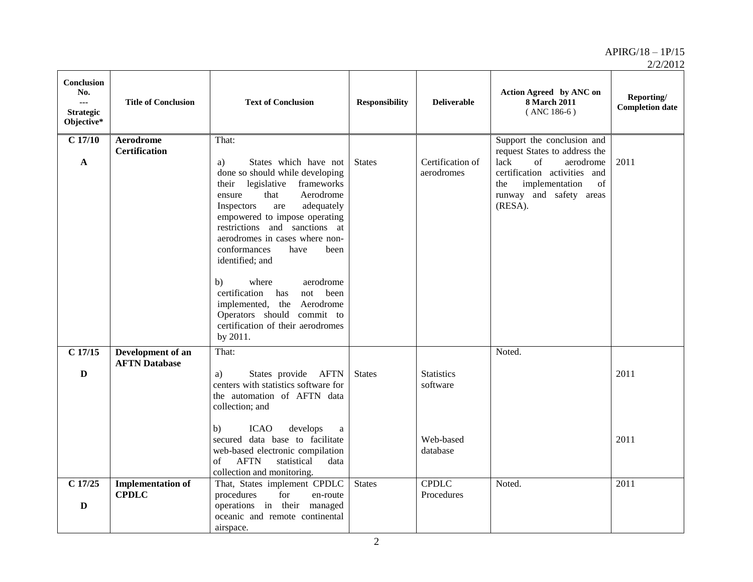| Conclusion<br>No.<br>$\sim$ $\sim$<br><b>Strategic</b><br>Objective* | <b>Title of Conclusion</b>               | <b>Text of Conclusion</b>                                                                                                                                                                                                                                                                                                                                                                                                                                                                                           | <b>Responsibility</b> | <b>Deliverable</b>             | Action Agreed by ANC on<br><b>8 March 2011</b><br>$($ ANC 186-6 $)$                                                                                                                         | Reporting/<br><b>Completion date</b> |
|----------------------------------------------------------------------|------------------------------------------|---------------------------------------------------------------------------------------------------------------------------------------------------------------------------------------------------------------------------------------------------------------------------------------------------------------------------------------------------------------------------------------------------------------------------------------------------------------------------------------------------------------------|-----------------------|--------------------------------|---------------------------------------------------------------------------------------------------------------------------------------------------------------------------------------------|--------------------------------------|
| $C$ 17/10<br>$\mathbf{A}$                                            | <b>Aerodrome</b><br><b>Certification</b> | That:<br>States which have not<br>a)<br>done so should while developing<br>frameworks<br>legislative<br>their<br>that<br>Aerodrome<br>ensure<br>Inspectors<br>adequately<br>are<br>empowered to impose operating<br>restrictions and sanctions at<br>aerodromes in cases where non-<br>conformances<br>have<br>been<br>identified; and<br>b)<br>where<br>aerodrome<br>certification has<br>been<br>not<br>implemented, the Aerodrome<br>Operators should commit to<br>certification of their aerodromes<br>by 2011. | <b>States</b>         | Certification of<br>aerodromes | Support the conclusion and<br>request States to address the<br>of<br>lack<br>aerodrome<br>certification activities and<br>implementation<br>of<br>the<br>runway and safety areas<br>(RESA). | 2011                                 |
| $\overline{C}$ 17/15                                                 | Development of an                        | That:                                                                                                                                                                                                                                                                                                                                                                                                                                                                                                               |                       |                                | Noted.                                                                                                                                                                                      |                                      |
| D                                                                    | <b>AFTN</b> Database                     | States provide AFTN<br>a)<br>centers with statistics software for<br>the automation of AFTN data<br>collection; and                                                                                                                                                                                                                                                                                                                                                                                                 | <b>States</b>         | <b>Statistics</b><br>software  |                                                                                                                                                                                             | 2011                                 |
|                                                                      |                                          | <b>ICAO</b><br>develops<br>b)<br>a<br>secured data base to facilitate<br>web-based electronic compilation<br><b>AFTN</b><br>statistical<br>data<br>of<br>collection and monitoring.                                                                                                                                                                                                                                                                                                                                 |                       | Web-based<br>database          |                                                                                                                                                                                             | 2011                                 |
| $C$ 17/25<br>$\mathbf D$                                             | <b>Implementation of</b><br><b>CPDLC</b> | That, States implement CPDLC<br>procedures<br>for<br>en-route<br>operations in their managed<br>oceanic and remote continental<br>airspace.                                                                                                                                                                                                                                                                                                                                                                         | <b>States</b>         | <b>CPDLC</b><br>Procedures     | Noted.                                                                                                                                                                                      | 2011                                 |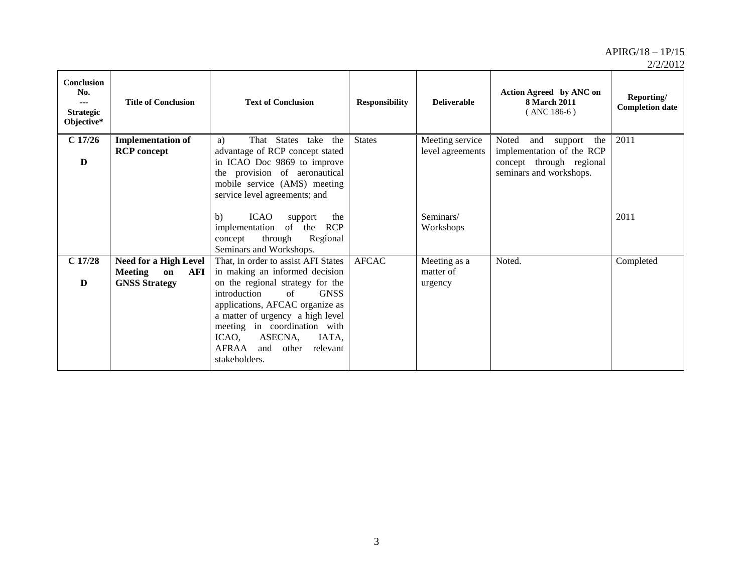| <b>Conclusion</b><br>No.<br>---<br><b>Strategic</b><br>Objective* | <b>Title of Conclusion</b>                                                          | <b>Text of Conclusion</b>                                                                                                                                                                                                                                                                                                                        | <b>Responsibility</b> | <b>Deliverable</b>                   | Action Agreed by ANC on<br><b>8 March 2011</b><br>$(ANC 186-6)$                                                    | Reporting/<br><b>Completion date</b> |
|-------------------------------------------------------------------|-------------------------------------------------------------------------------------|--------------------------------------------------------------------------------------------------------------------------------------------------------------------------------------------------------------------------------------------------------------------------------------------------------------------------------------------------|-----------------------|--------------------------------------|--------------------------------------------------------------------------------------------------------------------|--------------------------------------|
| C17/26<br>D                                                       | <b>Implementation of</b><br><b>RCP</b> concept                                      | That States take the<br>a)<br>advantage of RCP concept stated<br>in ICAO Doc 9869 to improve<br>the provision of aeronautical<br>mobile service (AMS) meeting<br>service level agreements; and                                                                                                                                                   | <b>States</b>         | Meeting service<br>level agreements  | Noted<br>and<br>support<br>the<br>implementation of the RCP<br>concept through regional<br>seminars and workshops. | 2011                                 |
|                                                                   |                                                                                     | <b>ICAO</b><br>b)<br>support<br>the<br><b>RCP</b><br>implementation<br>of the<br>Regional<br>through<br>concept<br>Seminars and Workshops.                                                                                                                                                                                                       |                       | Seminars/<br>Workshops               |                                                                                                                    | 2011                                 |
| C17/28<br>D                                                       | <b>Need for a High Level</b><br><b>Meeting</b><br>on<br>AFI<br><b>GNSS Strategy</b> | That, in order to assist AFI States<br>in making an informed decision<br>on the regional strategy for the<br>$\sigma$ f<br>introduction<br><b>GNSS</b><br>applications, AFCAC organize as<br>a matter of urgency a high level<br>meeting in coordination with<br>ICAO,<br>ASECNA,<br>IATA,<br>AFRAA<br>and<br>relevant<br>other<br>stakeholders. | <b>AFCAC</b>          | Meeting as a<br>matter of<br>urgency | Noted.                                                                                                             | Completed                            |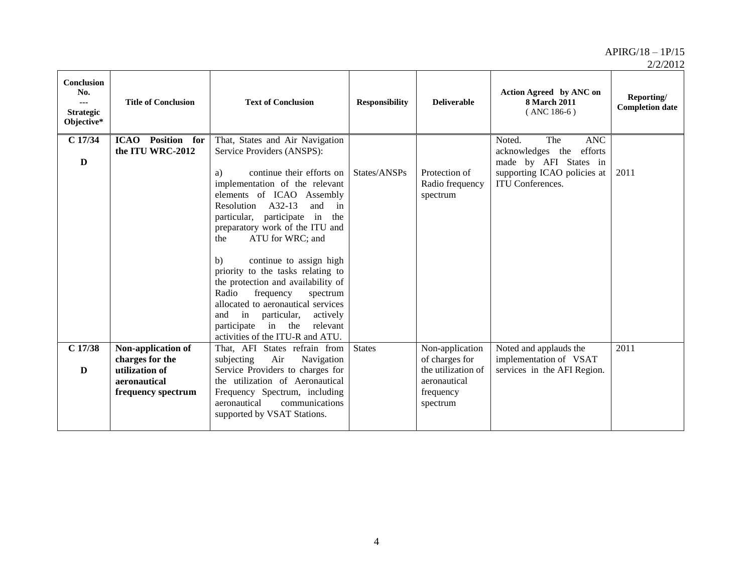| <b>Conclusion</b><br>No.<br>$- - -$<br><b>Strategic</b><br>Objective* | <b>Title of Conclusion</b>                                                                    | <b>Text of Conclusion</b>                                                                                                                                                                                                                                                                                                                                                                                                                                                                                                                                                                                       | <b>Responsibility</b> | <b>Deliverable</b>                                                                               | Action Agreed by ANC on<br><b>8 March 2011</b><br>$($ ANC 186-6 $)$                                                                           | Reporting/<br><b>Completion date</b> |
|-----------------------------------------------------------------------|-----------------------------------------------------------------------------------------------|-----------------------------------------------------------------------------------------------------------------------------------------------------------------------------------------------------------------------------------------------------------------------------------------------------------------------------------------------------------------------------------------------------------------------------------------------------------------------------------------------------------------------------------------------------------------------------------------------------------------|-----------------------|--------------------------------------------------------------------------------------------------|-----------------------------------------------------------------------------------------------------------------------------------------------|--------------------------------------|
| $C$ 17/34<br>D                                                        | <b>ICAO</b> Position for<br>the ITU WRC-2012                                                  | That, States and Air Navigation<br>Service Providers (ANSPS):<br>continue their efforts on<br>a)<br>implementation of the relevant<br>elements of ICAO Assembly<br>A32-13<br>Resolution<br>and<br>in<br>participate in<br>particular,<br>the<br>preparatory work of the ITU and<br>ATU for WRC; and<br>the<br>continue to assign high<br>b)<br>priority to the tasks relating to<br>the protection and availability of<br>frequency<br>Radio<br>spectrum<br>allocated to aeronautical services<br>and<br>in<br>particular,<br>actively<br>in the<br>relevant<br>participate<br>activities of the ITU-R and ATU. | States/ANSPs          | Protection of<br>Radio frequency<br>spectrum                                                     | The<br><b>ANC</b><br>Noted.<br>acknowledges the<br>efforts<br>made by AFI States in<br>supporting ICAO policies at<br><b>ITU</b> Conferences. | 2011                                 |
| $C$ 17/38<br>D                                                        | Non-application of<br>charges for the<br>utilization of<br>aeronautical<br>frequency spectrum | That, AFI States refrain from<br>Air<br>subjecting<br>Navigation<br>Service Providers to charges for<br>the utilization of Aeronautical<br>Frequency Spectrum, including<br>aeronautical<br>communications<br>supported by VSAT Stations.                                                                                                                                                                                                                                                                                                                                                                       | <b>States</b>         | Non-application<br>of charges for<br>the utilization of<br>aeronautical<br>frequency<br>spectrum | Noted and applauds the<br>implementation of VSAT<br>services in the AFI Region.                                                               | 2011                                 |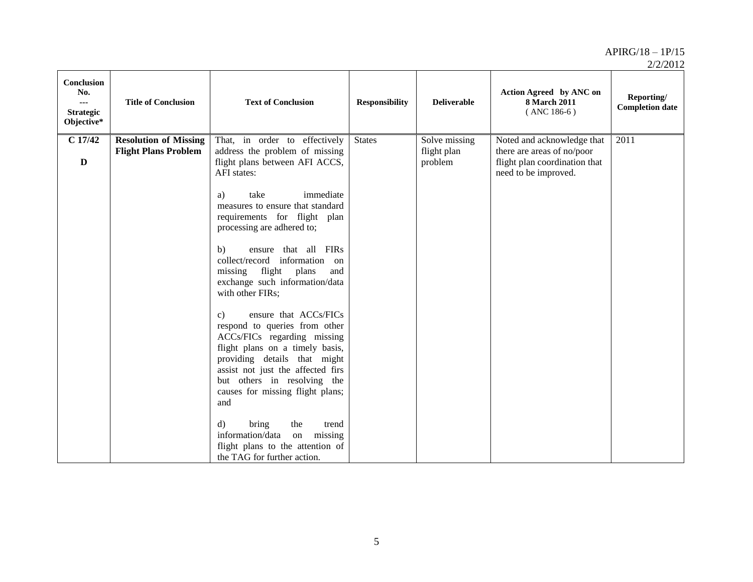| Conclusion<br>No.<br>---<br><b>Strategic</b><br>Objective* | <b>Title of Conclusion</b>                                  | <b>Text of Conclusion</b>                                                                                                                                                                                                                                                                                                                                                                                                                                                                                                                                                                                                                                                                                                                                                                                                                      | <b>Responsibility</b> | <b>Deliverable</b>                      | Action Agreed by ANC on<br>8 March 2011<br>$($ ANC 186-6 $)$                                                      | Reporting/<br><b>Completion date</b> |
|------------------------------------------------------------|-------------------------------------------------------------|------------------------------------------------------------------------------------------------------------------------------------------------------------------------------------------------------------------------------------------------------------------------------------------------------------------------------------------------------------------------------------------------------------------------------------------------------------------------------------------------------------------------------------------------------------------------------------------------------------------------------------------------------------------------------------------------------------------------------------------------------------------------------------------------------------------------------------------------|-----------------------|-----------------------------------------|-------------------------------------------------------------------------------------------------------------------|--------------------------------------|
| $C$ 17/42<br>D                                             | <b>Resolution of Missing</b><br><b>Flight Plans Problem</b> | That, in order to effectively<br>address the problem of missing<br>flight plans between AFI ACCS,<br>AFI states:<br>immediate<br>take<br>a)<br>measures to ensure that standard<br>requirements for flight plan<br>processing are adhered to;<br>ensure that all FIRs<br>b)<br>collect/record information<br>on<br>flight<br>plans<br>missing<br>and<br>exchange such information/data<br>with other FIRs;<br>ensure that ACCs/FICs<br>$\mathbf{c}$ )<br>respond to queries from other<br>ACCs/FICs regarding missing<br>flight plans on a timely basis,<br>providing details that might<br>assist not just the affected firs<br>but others in resolving the<br>causes for missing flight plans;<br>and<br>bring<br>d)<br>the<br>trend<br>missing<br>information/data<br>on<br>flight plans to the attention of<br>the TAG for further action. | <b>States</b>         | Solve missing<br>flight plan<br>problem | Noted and acknowledge that<br>there are areas of no/poor<br>flight plan coordination that<br>need to be improved. | 2011                                 |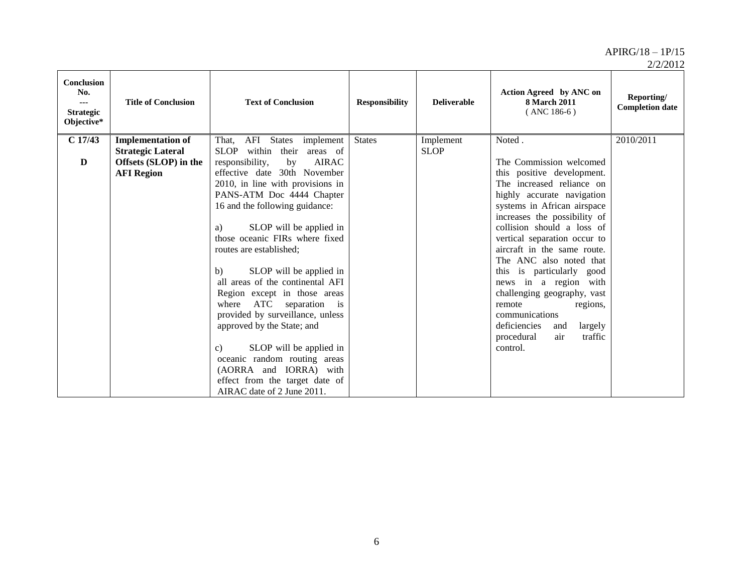2/2/2012

| <b>Conclusion</b><br>No.<br>$- - -$<br><b>Strategic</b><br>Objective* | <b>Title of Conclusion</b>                                                                         | <b>Text of Conclusion</b>                                                                                                                                                                                                                                                                                                                                                                                                                                        | <b>Responsibility</b> | <b>Deliverable</b>       | Action Agreed by ANC on<br><b>8 March 2011</b><br>$($ ANC 186-6 $)$                                                                                                                                                                                                                                                                                                                                       | Reporting/<br><b>Completion date</b> |
|-----------------------------------------------------------------------|----------------------------------------------------------------------------------------------------|------------------------------------------------------------------------------------------------------------------------------------------------------------------------------------------------------------------------------------------------------------------------------------------------------------------------------------------------------------------------------------------------------------------------------------------------------------------|-----------------------|--------------------------|-----------------------------------------------------------------------------------------------------------------------------------------------------------------------------------------------------------------------------------------------------------------------------------------------------------------------------------------------------------------------------------------------------------|--------------------------------------|
| C17/43<br>D                                                           | <b>Implementation of</b><br><b>Strategic Lateral</b><br>Offsets (SLOP) in the<br><b>AFI</b> Region | AFI<br>States<br>implement<br>That,<br>within<br><b>SLOP</b><br>areas of<br>their<br><b>AIRAC</b><br>responsibility,<br>by<br>effective date 30th November<br>2010, in line with provisions in<br>PANS-ATM Doc 4444 Chapter<br>16 and the following guidance:<br>SLOP will be applied in<br>a)<br>those oceanic FIRs where fixed<br>routes are established;<br>SLOP will be applied in<br>b)<br>all areas of the continental AFI<br>Region except in those areas | <b>States</b>         | Implement<br><b>SLOP</b> | Noted.<br>The Commission welcomed<br>this positive development.<br>The increased reliance on<br>highly accurate navigation<br>systems in African airspace<br>increases the possibility of<br>collision should a loss of<br>vertical separation occur to<br>aircraft in the same route.<br>The ANC also noted that<br>is particularly good<br>this<br>news in a region with<br>challenging geography, vast | 2010/2011                            |
|                                                                       |                                                                                                    | ATC separation<br>where<br>i <sub>s</sub><br>provided by surveillance, unless<br>approved by the State; and<br>SLOP will be applied in<br>$\mathbf{c}$<br>oceanic random routing areas<br>(AORRA and IORRA) with<br>effect from the target date of<br>AIRAC date of 2 June 2011.                                                                                                                                                                                 |                       |                          | remote<br>regions,<br>communications<br>deficiencies<br>largely<br>and<br>air<br>procedural<br>traffic<br>control.                                                                                                                                                                                                                                                                                        |                                      |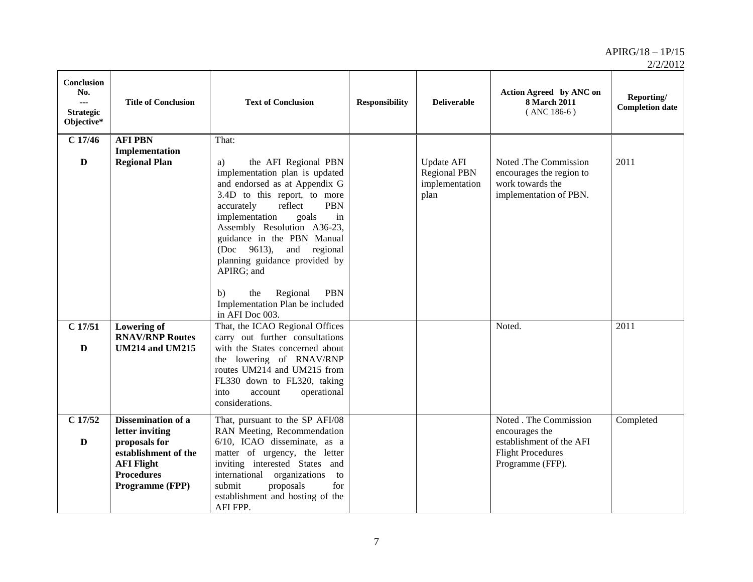| <b>Conclusion</b><br>No.<br>$\sim$<br><b>Strategic</b><br>Objective* | <b>Title of Conclusion</b>                                                                                                                         | <b>Text of Conclusion</b>                                                                                                                                                                                                                                                                                                                                                                                                                                      | <b>Responsibility</b> | <b>Deliverable</b>                                                 | Action Agreed by ANC on<br>8 March 2011<br>$($ ANC 186-6 $)$                                                         | Reporting/<br><b>Completion date</b> |
|----------------------------------------------------------------------|----------------------------------------------------------------------------------------------------------------------------------------------------|----------------------------------------------------------------------------------------------------------------------------------------------------------------------------------------------------------------------------------------------------------------------------------------------------------------------------------------------------------------------------------------------------------------------------------------------------------------|-----------------------|--------------------------------------------------------------------|----------------------------------------------------------------------------------------------------------------------|--------------------------------------|
| $C$ 17/46<br>$\mathbf{D}$                                            | <b>AFI PBN</b><br>Implementation<br><b>Regional Plan</b>                                                                                           | That:<br>the AFI Regional PBN<br>a)<br>implementation plan is updated<br>and endorsed as at Appendix G<br>3.4D to this report, to more<br>accurately<br>reflect<br><b>PBN</b><br>implementation<br>goals<br>in<br>Assembly Resolution A36-23,<br>guidance in the PBN Manual<br>$(Doc \t 9613),$<br>and<br>regional<br>planning guidance provided by<br>APIRG; and<br>Regional<br><b>PBN</b><br>the<br>b)<br>Implementation Plan be included<br>in AFI Doc 003. |                       | <b>Update AFI</b><br><b>Regional PBN</b><br>implementation<br>plan | Noted .The Commission<br>encourages the region to<br>work towards the<br>implementation of PBN.                      | 2011                                 |
| $C$ 17/51<br>$\mathbf{D}$                                            | <b>Lowering of</b><br><b>RNAV/RNP Routes</b><br><b>UM214 and UM215</b>                                                                             | That, the ICAO Regional Offices<br>carry out further consultations<br>with the States concerned about<br>the lowering of RNAV/RNP<br>routes UM214 and UM215 from<br>FL330 down to FL320, taking<br>into<br>account<br>operational<br>considerations.                                                                                                                                                                                                           |                       |                                                                    | Noted.                                                                                                               | 2011                                 |
| $C$ 17/52<br>$\mathbf{D}$                                            | <b>Dissemination of a</b><br>letter inviting<br>proposals for<br>establishment of the<br><b>AFI Flight</b><br><b>Procedures</b><br>Programme (FPP) | That, pursuant to the SP AFI/08<br>RAN Meeting, Recommendation<br>6/10, ICAO disseminate, as a<br>matter of urgency, the letter<br>inviting interested States and<br>international organizations<br>to<br>submit<br>proposals<br>for<br>establishment and hosting of the<br>AFI FPP.                                                                                                                                                                           |                       |                                                                    | Noted . The Commission<br>encourages the<br>establishment of the AFI<br><b>Flight Procedures</b><br>Programme (FFP). | Completed                            |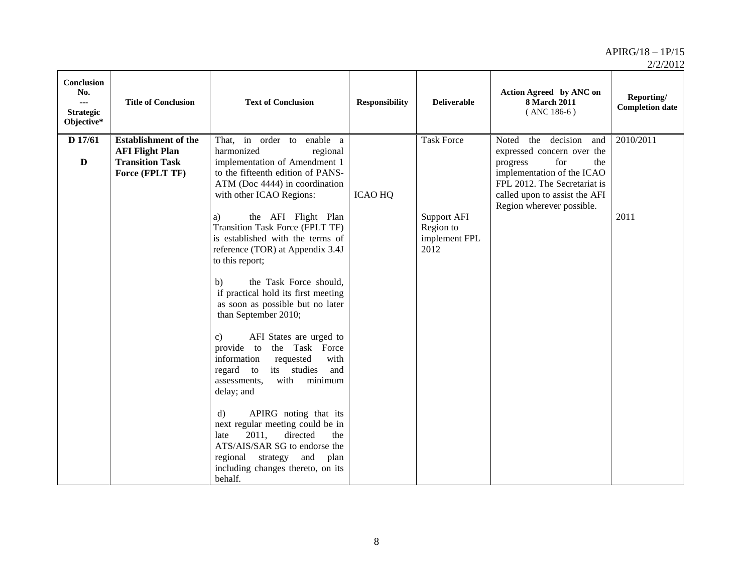| <b>Conclusion</b><br>No.<br><br><b>Strategic</b><br>Objective* | <b>Title of Conclusion</b>                                                                         | <b>Text of Conclusion</b>                                                                                                                                                                                                          | <b>Responsibility</b> | <b>Deliverable</b>                                       | Action Agreed by ANC on<br><b>8 March 2011</b><br>$($ ANC 186-6 $)$                                                                                                                                              | Reporting/<br><b>Completion date</b> |
|----------------------------------------------------------------|----------------------------------------------------------------------------------------------------|------------------------------------------------------------------------------------------------------------------------------------------------------------------------------------------------------------------------------------|-----------------------|----------------------------------------------------------|------------------------------------------------------------------------------------------------------------------------------------------------------------------------------------------------------------------|--------------------------------------|
| D 17/61<br>$\mathbf{D}$                                        | <b>Establishment of the</b><br><b>AFI Flight Plan</b><br><b>Transition Task</b><br>Force (FPLT TF) | That, in order to enable a<br>harmonized<br>regional<br>implementation of Amendment 1<br>to the fifteenth edition of PANS-<br>ATM (Doc 4444) in coordination<br>with other ICAO Regions:                                           | <b>ICAO HQ</b>        | <b>Task Force</b>                                        | the decision<br>Noted<br>and<br>expressed concern over the<br>for<br>progress<br>the<br>implementation of the ICAO<br>FPL 2012. The Secretariat is<br>called upon to assist the AFI<br>Region wherever possible. | 2010/2011                            |
|                                                                |                                                                                                    | the AFI Flight Plan<br>a)<br>Transition Task Force (FPLT TF)<br>is established with the terms of<br>reference (TOR) at Appendix 3.4J<br>to this report;<br>the Task Force should,<br>b)<br>if practical hold its first meeting     |                       | <b>Support AFI</b><br>Region to<br>implement FPL<br>2012 |                                                                                                                                                                                                                  | 2011                                 |
|                                                                |                                                                                                    | as soon as possible but no later<br>than September 2010;<br>AFI States are urged to<br>$\mathbf{c})$<br>provide to<br>the Task Force<br>requested<br>with<br>information                                                           |                       |                                                          |                                                                                                                                                                                                                  |                                      |
|                                                                |                                                                                                    | its studies<br>and<br>regard to<br>minimum<br>with<br>assessments,<br>delay; and<br>APIRG noting that its<br>$\mathbf{d}$<br>next regular meeting could be in<br>2011,<br>directed<br>the<br>late<br>ATS/AIS/SAR SG to endorse the |                       |                                                          |                                                                                                                                                                                                                  |                                      |
|                                                                |                                                                                                    | regional strategy<br>and<br>plan<br>including changes thereto, on its<br>behalf.                                                                                                                                                   |                       |                                                          |                                                                                                                                                                                                                  |                                      |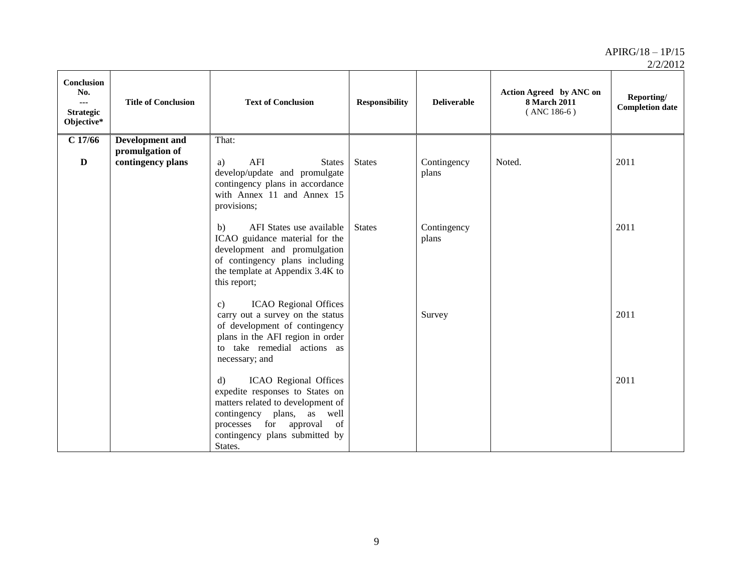| 2/2/2012 |
|----------|
|----------|

| <b>Conclusion</b><br>No.<br>$\sim$<br><b>Strategic</b><br>Objective* | <b>Title of Conclusion</b>                | <b>Text of Conclusion</b>                                                                                                                                                                                                      | <b>Responsibility</b> | <b>Deliverable</b>   | Action Agreed by ANC on<br><b>8 March 2011</b><br>$($ ANC 186-6 $)$ | Reporting/<br><b>Completion date</b> |
|----------------------------------------------------------------------|-------------------------------------------|--------------------------------------------------------------------------------------------------------------------------------------------------------------------------------------------------------------------------------|-----------------------|----------------------|---------------------------------------------------------------------|--------------------------------------|
| $C$ 17/66                                                            | <b>Development</b> and<br>promulgation of | That:                                                                                                                                                                                                                          |                       |                      |                                                                     |                                      |
| $\mathbf{D}$                                                         | contingency plans                         | AFI<br><b>States</b><br>a)<br>develop/update and promulgate<br>contingency plans in accordance<br>with Annex 11 and Annex 15<br>provisions;                                                                                    | <b>States</b>         | Contingency<br>plans | Noted.                                                              | 2011                                 |
|                                                                      |                                           | b)<br>AFI States use available<br>ICAO guidance material for the<br>development and promulgation<br>of contingency plans including<br>the template at Appendix 3.4K to<br>this report;                                         | <b>States</b>         | Contingency<br>plans |                                                                     | 2011                                 |
|                                                                      |                                           | <b>ICAO</b> Regional Offices<br>$\mathbf{c})$<br>carry out a survey on the status<br>of development of contingency<br>plans in the AFI region in order<br>to take remedial actions as<br>necessary; and                        |                       | Survey               |                                                                     | 2011                                 |
|                                                                      |                                           | ICAO Regional Offices<br>$\mathbf{d}$<br>expedite responses to States on<br>matters related to development of<br>contingency plans, as<br>well<br>for approval<br>processes<br>of<br>contingency plans submitted by<br>States. |                       |                      |                                                                     | 2011                                 |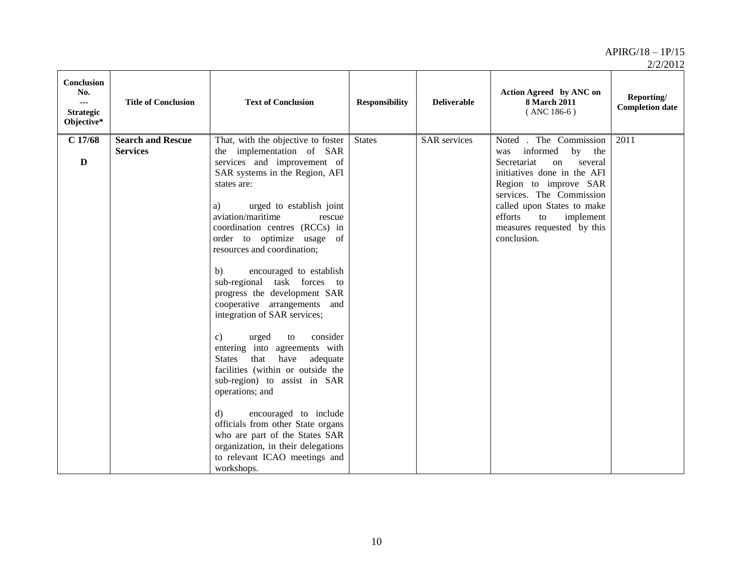| <b>Conclusion</b><br>No.<br>$\sim$<br><b>Strategic</b><br>Objective* | <b>Title of Conclusion</b>                  | <b>Text of Conclusion</b>                                                                                                                                                                                                                                                                                                                                                                                                                                                                                                                                   | <b>Responsibility</b> | <b>Deliverable</b>  | Action Agreed by ANC on<br>8 March 2011<br>$($ ANC 186-6 $)$                                                                                                                                                                                                                        | Reporting/<br><b>Completion date</b> |
|----------------------------------------------------------------------|---------------------------------------------|-------------------------------------------------------------------------------------------------------------------------------------------------------------------------------------------------------------------------------------------------------------------------------------------------------------------------------------------------------------------------------------------------------------------------------------------------------------------------------------------------------------------------------------------------------------|-----------------------|---------------------|-------------------------------------------------------------------------------------------------------------------------------------------------------------------------------------------------------------------------------------------------------------------------------------|--------------------------------------|
| $C$ 17/68<br>$\mathbf{D}$                                            | <b>Search and Rescue</b><br><b>Services</b> | That, with the objective to foster<br>the implementation of SAR<br>services and improvement of<br>SAR systems in the Region, AFI<br>states are:<br>urged to establish joint<br>a)<br>aviation/maritime<br>rescue<br>coordination centres (RCCs) in<br>order to optimize usage of<br>resources and coordination;<br>encouraged to establish<br>b)<br>sub-regional task forces to<br>progress the development SAR<br>cooperative arrangements and<br>integration of SAR services;<br>consider<br>urged<br>$\mathbf{c}$<br>to<br>entering into agreements with | <b>States</b>         | <b>SAR</b> services | Noted . The Commission<br>informed<br>by<br>the<br>was<br>Secretariat<br>on<br>several<br>initiatives done in the AFI<br>Region to improve SAR<br>services. The Commission<br>called upon States to make<br>efforts<br>implement<br>to<br>measures requested by this<br>conclusion. | 2011                                 |
|                                                                      |                                             | that<br>have<br>adequate<br><b>States</b><br>facilities (within or outside the<br>sub-region) to assist in SAR<br>operations; and<br>encouraged to include<br>d)<br>officials from other State organs<br>who are part of the States SAR<br>organization, in their delegations<br>to relevant ICAO meetings and<br>workshops.                                                                                                                                                                                                                                |                       |                     |                                                                                                                                                                                                                                                                                     |                                      |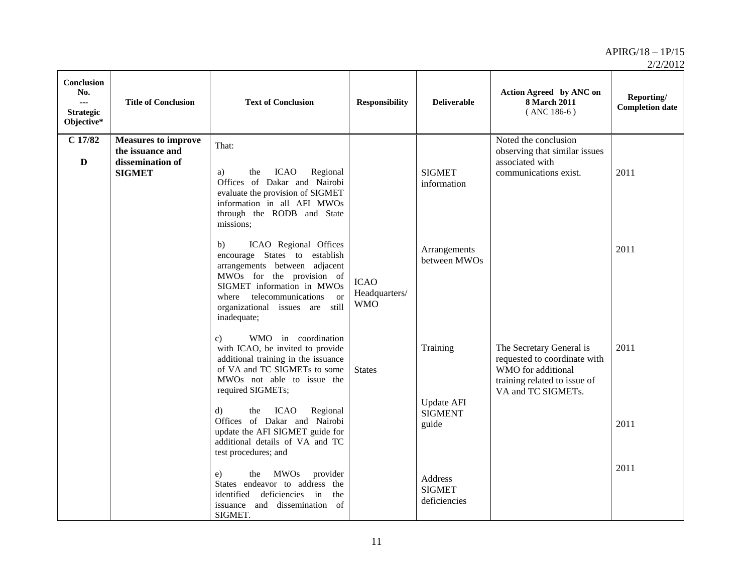| <b>Conclusion</b><br>No.<br>$\overline{a}$<br><b>Strategic</b><br>Objective* | <b>Title of Conclusion</b>                                                          | <b>Text of Conclusion</b>                                                                                                                                                                                                                                                                                                                                               | <b>Responsibility</b>                      | <b>Deliverable</b>                                       | Action Agreed by ANC on<br>8 March 2011<br>$(ANC 186-6)$                                                                             | Reporting/<br><b>Completion date</b> |
|------------------------------------------------------------------------------|-------------------------------------------------------------------------------------|-------------------------------------------------------------------------------------------------------------------------------------------------------------------------------------------------------------------------------------------------------------------------------------------------------------------------------------------------------------------------|--------------------------------------------|----------------------------------------------------------|--------------------------------------------------------------------------------------------------------------------------------------|--------------------------------------|
| $C$ 17/82<br>$\mathbf{D}$                                                    | <b>Measures to improve</b><br>the issuance and<br>dissemination of<br><b>SIGMET</b> | That:<br>Regional<br>the<br>ICAO<br>a)<br>Offices of Dakar and Nairobi<br>evaluate the provision of SIGMET<br>information in all AFI MWOs<br>through the RODB and State<br>missions;                                                                                                                                                                                    |                                            | <b>SIGMET</b><br>information                             | Noted the conclusion<br>observing that similar issues<br>associated with<br>communications exist.                                    | 2011                                 |
|                                                                              |                                                                                     | ICAO Regional Offices<br>b)<br>encourage States to establish<br>arrangements between adjacent<br>MWOs for the provision of<br>SIGMET information in MWOs<br>where telecommunications<br><sub>or</sub><br>organizational issues are still<br>inadequate;                                                                                                                 | <b>ICAO</b><br>Headquarters/<br><b>WMO</b> | Arrangements<br>between MWOs                             |                                                                                                                                      | 2011                                 |
|                                                                              |                                                                                     | WMO in coordination<br>$\mathbf{c}$<br>with ICAO, be invited to provide<br>additional training in the issuance<br>of VA and TC SIGMETs to some<br>MWOs not able to issue the<br>required SIGMETs;<br>d)<br>the<br><b>ICAO</b><br>Regional<br>Offices of Dakar and Nairobi<br>update the AFI SIGMET guide for<br>additional details of VA and TC<br>test procedures; and | <b>States</b>                              | Training<br><b>Update AFI</b><br><b>SIGMENT</b><br>guide | The Secretary General is<br>requested to coordinate with<br>WMO for additional<br>training related to issue of<br>VA and TC SIGMETs. | 2011<br>2011                         |
|                                                                              |                                                                                     | <b>MWOs</b><br>provider<br>the<br>e)<br>States endeavor to address the<br>deficiencies in<br>identified<br>the<br>and dissemination of<br>issuance<br>SIGMET.                                                                                                                                                                                                           |                                            | Address<br><b>SIGMET</b><br>deficiencies                 |                                                                                                                                      | 2011                                 |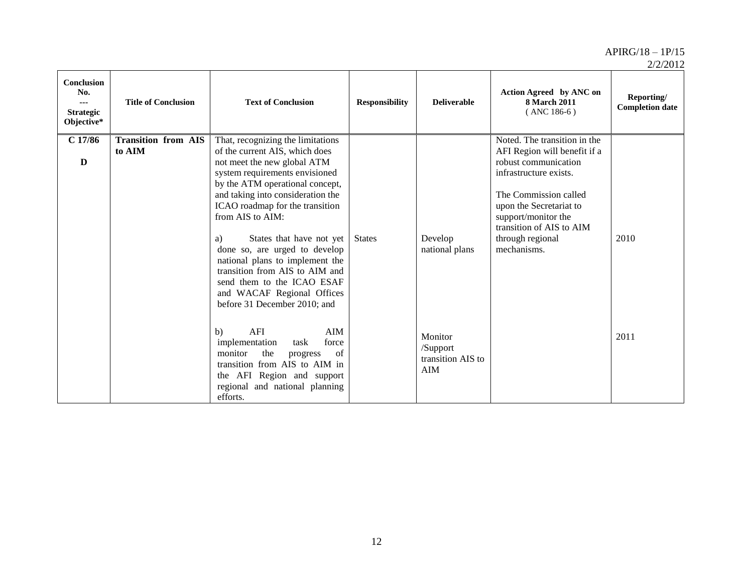| 2/2/2012 |
|----------|
|----------|

| <b>Conclusion</b><br>No.<br>---<br><b>Strategic</b><br>Objective* | <b>Title of Conclusion</b>           | <b>Text of Conclusion</b>                                                                                                                                                                                                                                                                                                                                                                                   | <b>Responsibility</b> | <b>Deliverable</b>                                     | Action Agreed by ANC on<br><b>8 March 2011</b><br>$($ ANC 186-6 $)$                                                                                                                                                                                      | Reporting/<br><b>Completion date</b> |
|-------------------------------------------------------------------|--------------------------------------|-------------------------------------------------------------------------------------------------------------------------------------------------------------------------------------------------------------------------------------------------------------------------------------------------------------------------------------------------------------------------------------------------------------|-----------------------|--------------------------------------------------------|----------------------------------------------------------------------------------------------------------------------------------------------------------------------------------------------------------------------------------------------------------|--------------------------------------|
| $C$ 17/86<br>$\mathbf{D}$                                         | <b>Transition from AIS</b><br>to AIM | That, recognizing the limitations<br>of the current AIS, which does<br>not meet the new global ATM<br>system requirements envisioned<br>by the ATM operational concept,<br>and taking into consideration the<br>ICAO roadmap for the transition<br>from AIS to AIM:<br>States that have not yet<br>a)<br>done so, are urged to develop<br>national plans to implement the<br>transition from AIS to AIM and | <b>States</b>         | Develop<br>national plans                              | Noted. The transition in the<br>AFI Region will benefit if a<br>robust communication<br>infrastructure exists.<br>The Commission called<br>upon the Secretariat to<br>support/monitor the<br>transition of AIS to AIM<br>through regional<br>mechanisms. | 2010                                 |
|                                                                   |                                      | send them to the ICAO ESAF<br>and WACAF Regional Offices<br>before 31 December 2010; and<br>AFI<br>AIM<br>b)<br>force<br>implementation<br>task<br>monitor<br>the<br>progress<br>of<br>transition from AIS to AIM in<br>the AFI Region and support<br>regional and national planning<br>efforts.                                                                                                            |                       | Monitor<br>/Support<br>transition AIS to<br><b>AIM</b> |                                                                                                                                                                                                                                                          | 2011                                 |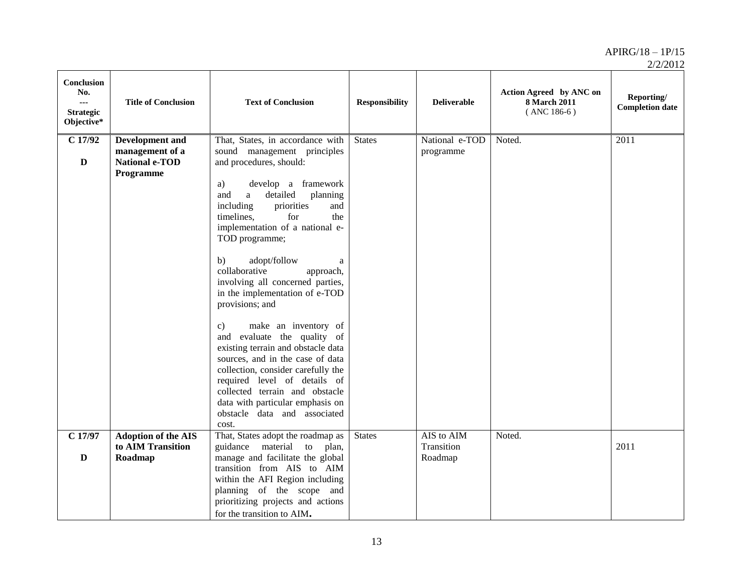| 2/2/2012 |
|----------|
|----------|

| Conclusion<br>No.<br><br><b>Strategic</b><br>Objective* | <b>Title of Conclusion</b>                                                      | <b>Text of Conclusion</b>                                                                                                                                                                                                                                                                                                                                                                                                                                                             | <b>Responsibility</b> | <b>Deliverable</b>                  | Action Agreed by ANC on<br>8 March 2011<br>$($ ANC 186-6 $)$ | Reporting/<br><b>Completion date</b> |
|---------------------------------------------------------|---------------------------------------------------------------------------------|---------------------------------------------------------------------------------------------------------------------------------------------------------------------------------------------------------------------------------------------------------------------------------------------------------------------------------------------------------------------------------------------------------------------------------------------------------------------------------------|-----------------------|-------------------------------------|--------------------------------------------------------------|--------------------------------------|
| $C$ 17/92<br>$\mathbf D$                                | <b>Development</b> and<br>management of a<br><b>National e-TOD</b><br>Programme | That, States, in accordance with<br>sound management principles<br>and procedures, should:<br>develop a framework<br>a)<br>detailed<br>planning<br>and<br>a<br>priorities<br>including<br>and<br>timelines,<br>for<br>the<br>implementation of a national e-<br>TOD programme;                                                                                                                                                                                                        | <b>States</b>         | National e-TOD<br>programme         | Noted.                                                       | 2011                                 |
|                                                         |                                                                                 | adopt/follow<br>b)<br>a<br>collaborative<br>approach,<br>involving all concerned parties,<br>in the implementation of e-TOD<br>provisions; and<br>make an inventory of<br>$\mathbf{c})$<br>and evaluate the quality of<br>existing terrain and obstacle data<br>sources, and in the case of data<br>collection, consider carefully the<br>required level of details of<br>collected terrain and obstacle<br>data with particular emphasis on<br>obstacle data and associated<br>cost. |                       |                                     |                                                              |                                      |
| $C$ 17/97<br>$\mathbf{D}$                               | <b>Adoption of the AIS</b><br>to AIM Transition<br>Roadmap                      | That, States adopt the roadmap as<br>guidance material to plan,<br>manage and facilitate the global<br>transition from AIS to AIM<br>within the AFI Region including<br>planning of the scope and<br>prioritizing projects and actions<br>for the transition to AIM.                                                                                                                                                                                                                  | <b>States</b>         | AIS to AIM<br>Transition<br>Roadmap | Noted.                                                       | 2011                                 |